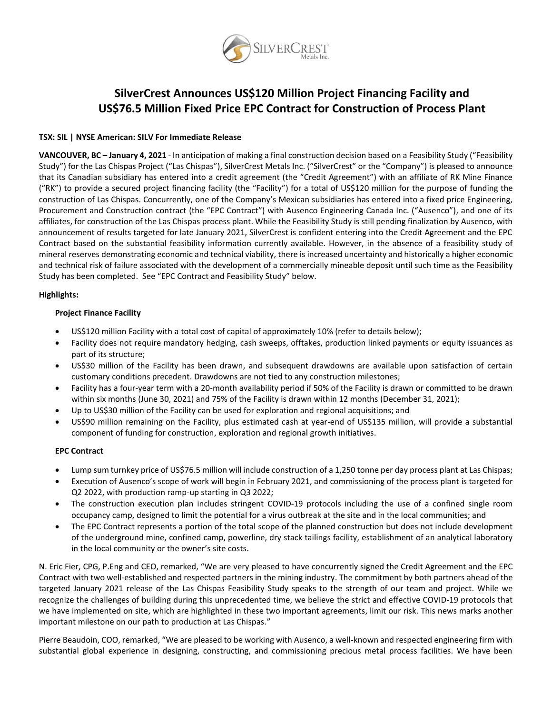

# **SilverCrest Announces US\$120 Million Project Financing Facility and US\$76.5 Million Fixed Price EPC Contract for Construction of Process Plant**

# **TSX: SIL | NYSE American: SILV For Immediate Release**

**VANCOUVER, BC – January 4, 2021** - In anticipation of making a final construction decision based on a Feasibility Study ("Feasibility Study") for the Las Chispas Project ("Las Chispas"), SilverCrest Metals Inc. ("SilverCrest" or the "Company") is pleased to announce that its Canadian subsidiary has entered into a credit agreement (the "Credit Agreement") with an affiliate of RK Mine Finance ("RK") to provide a secured project financing facility (the "Facility") for a total of US\$120 million for the purpose of funding the construction of Las Chispas. Concurrently, one of the Company's Mexican subsidiaries has entered into a fixed price Engineering, Procurement and Construction contract (the "EPC Contract") with Ausenco Engineering Canada Inc. ("Ausenco"), and one of its affiliates, for construction of the Las Chispas process plant. While the Feasibility Study is still pending finalization by Ausenco, with announcement of results targeted for late January 2021, SilverCrest is confident entering into the Credit Agreement and the EPC Contract based on the substantial feasibility information currently available. However, in the absence of a feasibility study of mineral reserves demonstrating economic and technical viability, there is increased uncertainty and historically a higher economic and technical risk of failure associated with the development of a commercially mineable deposit until such time as the Feasibility Study has been completed. See "EPC Contract and Feasibility Study" below.

# **Highlights:**

# **Project Finance Facility**

- US\$120 million Facility with a total cost of capital of approximately 10% (refer to details below);
- Facility does not require mandatory hedging, cash sweeps, offtakes, production linked payments or equity issuances as part of its structure;
- US\$30 million of the Facility has been drawn, and subsequent drawdowns are available upon satisfaction of certain customary conditions precedent. Drawdowns are not tied to any construction milestones;
- Facility has a four-year term with a 20-month availability period if 50% of the Facility is drawn or committed to be drawn within six months (June 30, 2021) and 75% of the Facility is drawn within 12 months (December 31, 2021);
- Up to US\$30 million of the Facility can be used for exploration and regional acquisitions; and
- US\$90 million remaining on the Facility, plus estimated cash at year-end of US\$135 million, will provide a substantial component of funding for construction, exploration and regional growth initiatives.

# **EPC Contract**

- Lump sum turnkey price of US\$76.5 million will include construction of a 1,250 tonne per day process plant at Las Chispas;
- Execution of Ausenco's scope of work will begin in February 2021, and commissioning of the process plant is targeted for Q2 2022, with production ramp-up starting in Q3 2022;
- The construction execution plan includes stringent COVID-19 protocols including the use of a confined single room occupancy camp, designed to limit the potential for a virus outbreak at the site and in the local communities; and
- The EPC Contract represents a portion of the total scope of the planned construction but does not include development of the underground mine, confined camp, powerline, dry stack tailings facility, establishment of an analytical laboratory in the local community or the owner's site costs.

N. Eric Fier, CPG, P.Eng and CEO, remarked, "We are very pleased to have concurrently signed the Credit Agreement and the EPC Contract with two well-established and respected partners in the mining industry. The commitment by both partners ahead of the targeted January 2021 release of the Las Chispas Feasibility Study speaks to the strength of our team and project. While we recognize the challenges of building during this unprecedented time, we believe the strict and effective COVID-19 protocols that we have implemented on site, which are highlighted in these two important agreements, limit our risk. This news marks another important milestone on our path to production at Las Chispas."

Pierre Beaudoin, COO, remarked, "We are pleased to be working with Ausenco, a well-known and respected engineering firm with substantial global experience in designing, constructing, and commissioning precious metal process facilities. We have been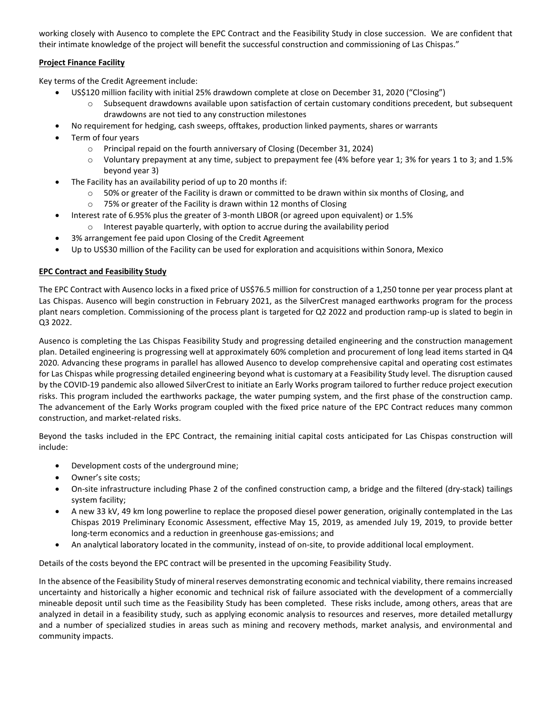working closely with Ausenco to complete the EPC Contract and the Feasibility Study in close succession. We are confident that their intimate knowledge of the project will benefit the successful construction and commissioning of Las Chispas."

# **Project Finance Facility**

Key terms of the Credit Agreement include:

- US\$120 million facility with initial 25% drawdown complete at close on December 31, 2020 ("Closing")
	- Subsequent drawdowns available upon satisfaction of certain customary conditions precedent, but subsequent drawdowns are not tied to any construction milestones
- No requirement for hedging, cash sweeps, offtakes, production linked payments, shares or warrants
- Term of four years
	- o Principal repaid on the fourth anniversary of Closing (December 31, 2024)
	- o Voluntary prepayment at any time, subject to prepayment fee (4% before year 1; 3% for years 1 to 3; and 1.5% beyond year 3)
- The Facility has an availability period of up to 20 months if:
	- o 50% or greater of the Facility is drawn or committed to be drawn within six months of Closing, and
	- o 75% or greater of the Facility is drawn within 12 months of Closing
- Interest rate of 6.95% plus the greater of 3-month LIBOR (or agreed upon equivalent) or 1.5%
	- o Interest payable quarterly, with option to accrue during the availability period
- 3% arrangement fee paid upon Closing of the Credit Agreement
- Up to US\$30 million of the Facility can be used for exploration and acquisitions within Sonora, Mexico

# **EPC Contract and Feasibility Study**

The EPC Contract with Ausenco locks in a fixed price of US\$76.5 million for construction of a 1,250 tonne per year process plant at Las Chispas. Ausenco will begin construction in February 2021, as the SilverCrest managed earthworks program for the process plant nears completion. Commissioning of the process plant is targeted for Q2 2022 and production ramp-up is slated to begin in Q3 2022.

Ausenco is completing the Las Chispas Feasibility Study and progressing detailed engineering and the construction management plan. Detailed engineering is progressing well at approximately 60% completion and procurement of long lead items started in Q4 2020. Advancing these programs in parallel has allowed Ausenco to develop comprehensive capital and operating cost estimates for Las Chispas while progressing detailed engineering beyond what is customary at a Feasibility Study level. The disruption caused by the COVID-19 pandemic also allowed SilverCrest to initiate an Early Works program tailored to further reduce project execution risks. This program included the earthworks package, the water pumping system, and the first phase of the construction camp. The advancement of the Early Works program coupled with the fixed price nature of the EPC Contract reduces many common construction, and market-related risks.

Beyond the tasks included in the EPC Contract, the remaining initial capital costs anticipated for Las Chispas construction will include:

- Development costs of the underground mine;
- Owner's site costs;
- On-site infrastructure including Phase 2 of the confined construction camp, a bridge and the filtered (dry-stack) tailings system facility;
- A new 33 kV, 49 km long powerline to replace the proposed diesel power generation, originally contemplated in the Las Chispas 2019 Preliminary Economic Assessment, effective May 15, 2019, as amended July 19, 2019, to provide better long-term economics and a reduction in greenhouse gas-emissions; and
- An analytical laboratory located in the community, instead of on-site, to provide additional local employment.

Details of the costs beyond the EPC contract will be presented in the upcoming Feasibility Study.

In the absence of the Feasibility Study of mineral reserves demonstrating economic and technical viability, there remains increased uncertainty and historically a higher economic and technical risk of failure associated with the development of a commercially mineable deposit until such time as the Feasibility Study has been completed. These risks include, among others, areas that are analyzed in detail in a feasibility study, such as applying economic analysis to resources and reserves, more detailed metallurgy and a number of specialized studies in areas such as mining and recovery methods, market analysis, and environmental and community impacts.